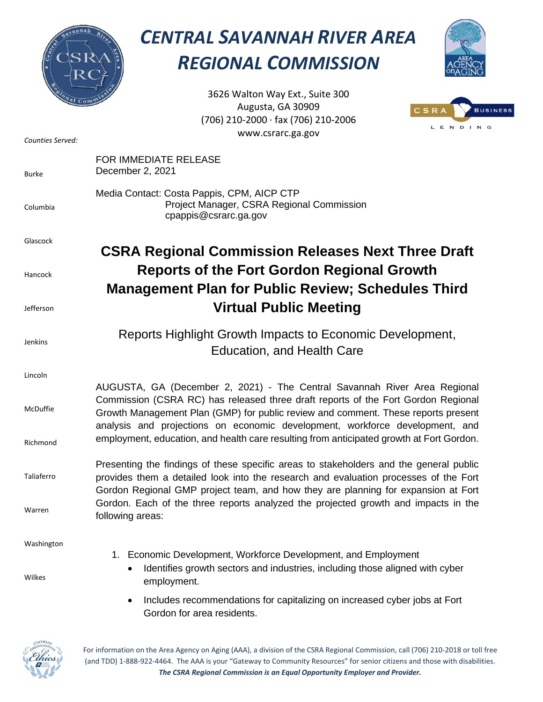

## *CENTRAL SAVANNAH RIVER AREA REGIONAL COMMISSION*



3626 Walton Way Ext., Suite 300 Augusta, GA 30909 (706) 210-2000 ∙ fax (706) 210-2006 www.csrarc.ga.gov



| Counties Served: | www.csrarc.ga.gov                                                                                                                                                                                                                                                                                                                   |
|------------------|-------------------------------------------------------------------------------------------------------------------------------------------------------------------------------------------------------------------------------------------------------------------------------------------------------------------------------------|
| <b>Burke</b>     | FOR IMMEDIATE RELEASE<br>December 2, 2021                                                                                                                                                                                                                                                                                           |
| Columbia         | Media Contact: Costa Pappis, CPM, AICP CTP<br>Project Manager, CSRA Regional Commission<br>cpappis@csrarc.ga.gov                                                                                                                                                                                                                    |
| Glascock         | <b>CSRA Regional Commission Releases Next Three Draft</b>                                                                                                                                                                                                                                                                           |
| Hancock          | <b>Reports of the Fort Gordon Regional Growth</b><br><b>Management Plan for Public Review; Schedules Third</b>                                                                                                                                                                                                                      |
| Jefferson        | <b>Virtual Public Meeting</b>                                                                                                                                                                                                                                                                                                       |
| <b>Jenkins</b>   | Reports Highlight Growth Impacts to Economic Development,<br><b>Education, and Health Care</b>                                                                                                                                                                                                                                      |
| Lincoln          |                                                                                                                                                                                                                                                                                                                                     |
| McDuffie         | AUGUSTA, GA (December 2, 2021) - The Central Savannah River Area Regional<br>Commission (CSRA RC) has released three draft reports of the Fort Gordon Regional<br>Growth Management Plan (GMP) for public review and comment. These reports present<br>analysis and projections on economic development, workforce development, and |
| Richmond         | employment, education, and health care resulting from anticipated growth at Fort Gordon.                                                                                                                                                                                                                                            |
| Taliaferro       | Presenting the findings of these specific areas to stakeholders and the general public<br>provides them a detailed look into the research and evaluation processes of the Fort<br>Gordon Regional GMP project team, and how they are planning for expansion at Fort                                                                 |
| Warren           | Gordon. Each of the three reports analyzed the projected growth and impacts in the<br>following areas:                                                                                                                                                                                                                              |
| Washington       |                                                                                                                                                                                                                                                                                                                                     |
| Wilkes           | 1. Economic Development, Workforce Development, and Employment<br>Identifies growth sectors and industries, including those aligned with cyber<br>٠<br>employment.                                                                                                                                                                  |
|                  | Includes recommendations for capitalizing on increased cyber jobs at Fort<br>$\bullet$<br>Gordon for area residents.                                                                                                                                                                                                                |



For information on the Area Agency on Aging (AAA), a division of the CSRA Regional Commission, call (706) 210-2018 or toll free (and TDD) 1-888-922-4464. The AAA is your "Gateway to Community Resources" for senior citizens and those with disabilities. *The CSRA Regional Commission is an Equal Opportunity Employer and Provider.*